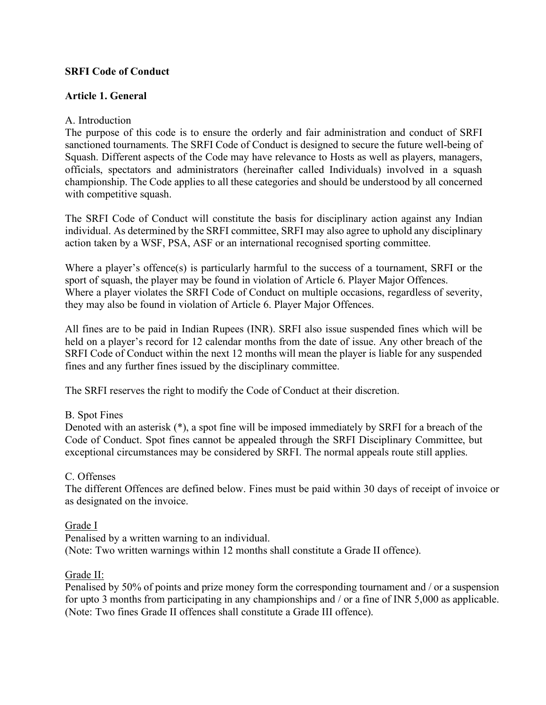### **SRFI Code of Conduct**

### **Article 1. General**

### A. Introduction

The purpose of this code is to ensure the orderly and fair administration and conduct of SRFI sanctioned tournaments. The SRFI Code of Conduct is designed to secure the future well-being of Squash. Different aspects of the Code may have relevance to Hosts as well as players, managers, officials, spectators and administrators (hereinafter called Individuals) involved in a squash championship. The Code applies to all these categories and should be understood by all concerned with competitive squash.

The SRFI Code of Conduct will constitute the basis for disciplinary action against any Indian individual. As determined by the SRFI committee, SRFI may also agree to uphold any disciplinary action taken by a WSF, PSA, ASF or an international recognised sporting committee.

Where a player's offence(s) is particularly harmful to the success of a tournament, SRFI or the sport of squash, the player may be found in violation of Article 6. Player Major Offences. Where a player violates the SRFI Code of Conduct on multiple occasions, regardless of severity, they may also be found in violation of Article 6. Player Major Offences.

All fines are to be paid in Indian Rupees (INR). SRFI also issue suspended fines which will be held on a player's record for 12 calendar months from the date of issue. Any other breach of the SRFI Code of Conduct within the next 12 months will mean the player is liable for any suspended fines and any further fines issued by the disciplinary committee.

The SRFI reserves the right to modify the Code of Conduct at their discretion.

#### B. Spot Fines

Denoted with an asterisk (\*), a spot fine will be imposed immediately by SRFI for a breach of the Code of Conduct. Spot fines cannot be appealed through the SRFI Disciplinary Committee, but exceptional circumstances may be considered by SRFI. The normal appeals route still applies.

#### C. Offenses

The different Offences are defined below. Fines must be paid within 30 days of receipt of invoice or as designated on the invoice.

#### Grade I

Penalised by a written warning to an individual. (Note: Two written warnings within 12 months shall constitute a Grade II offence).

#### Grade II:

Penalised by 50% of points and prize money form the corresponding tournament and / or a suspension for upto 3 months from participating in any championships and / or a fine of INR 5,000 as applicable. (Note: Two fines Grade II offences shall constitute a Grade III offence).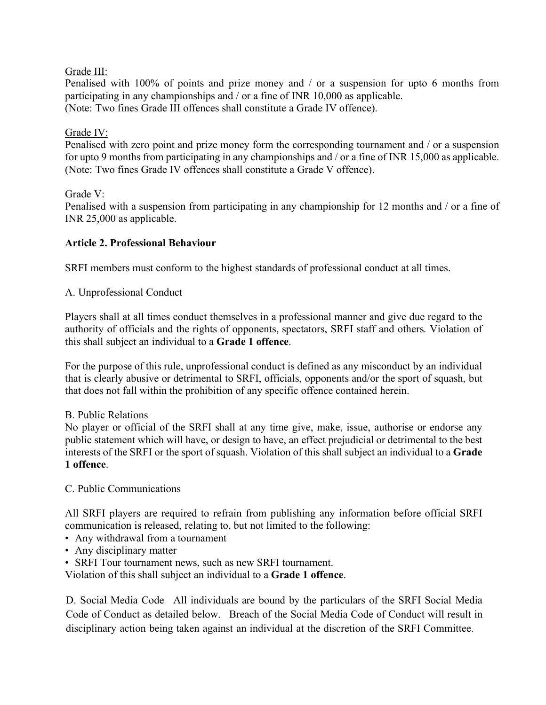# Grade III:

Penalised with 100% of points and prize money and / or a suspension for upto 6 months from participating in any championships and / or a fine of INR 10,000 as applicable. (Note: Two fines Grade III offences shall constitute a Grade IV offence).

# Grade IV:

Penalised with zero point and prize money form the corresponding tournament and / or a suspension for upto 9 months from participating in any championships and / or a fine of INR 15,000 as applicable. (Note: Two fines Grade IV offences shall constitute a Grade V offence).

# Grade V:

Penalised with a suspension from participating in any championship for 12 months and / or a fine of INR 25,000 as applicable.

# **Article 2. Professional Behaviour**

SRFI members must conform to the highest standards of professional conduct at all times.

A. Unprofessional Conduct

Players shall at all times conduct themselves in a professional manner and give due regard to the authority of officials and the rights of opponents, spectators, SRFI staff and others. Violation of this shall subject an individual to a **Grade 1 offence**.

For the purpose of this rule, unprofessional conduct is defined as any misconduct by an individual that is clearly abusive or detrimental to SRFI, officials, opponents and/or the sport of squash, but that does not fall within the prohibition of any specific offence contained herein.

# B. Public Relations

No player or official of the SRFI shall at any time give, make, issue, authorise or endorse any public statement which will have, or design to have, an effect prejudicial or detrimental to the best interests of the SRFI or the sport of squash. Violation of this shall subject an individual to a **Grade 1 offence**.

# C. Public Communications

All SRFI players are required to refrain from publishing any information before official SRFI communication is released, relating to, but not limited to the following:

- Any withdrawal from a tournament
- Any disciplinary matter
- SRFI Tour tournament news, such as new SRFI tournament.

Violation of this shall subject an individual to a **Grade 1 offence**.

D. Social Media Code All individuals are bound by the particulars of the SRFI Social Media Code of Conduct as detailed below. Breach of the Social Media Code of Conduct will result in disciplinary action being taken against an individual at the discretion of the SRFI Committee.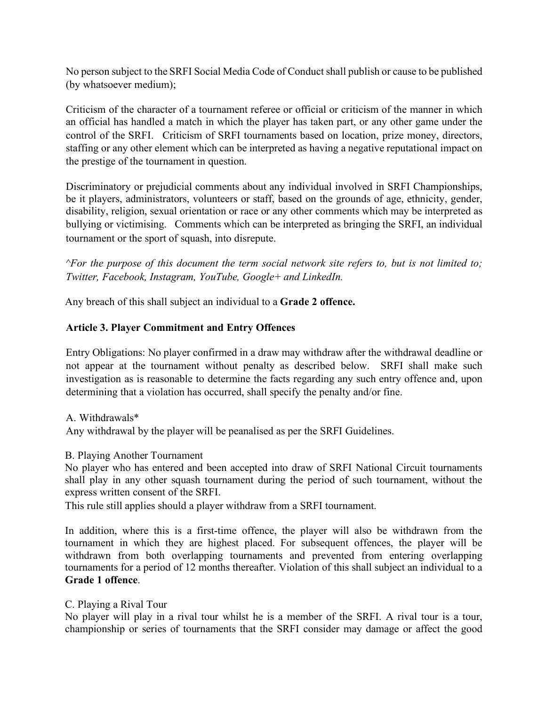No person subject to the SRFI Social Media Code of Conduct shall publish or cause to be published (by whatsoever medium);

Criticism of the character of a tournament referee or official or criticism of the manner in which an official has handled a match in which the player has taken part, or any other game under the control of the SRFI. Criticism of SRFI tournaments based on location, prize money, directors, staffing or any other element which can be interpreted as having a negative reputational impact on the prestige of the tournament in question.

Discriminatory or prejudicial comments about any individual involved in SRFI Championships, be it players, administrators, volunteers or staff, based on the grounds of age, ethnicity, gender, disability, religion, sexual orientation or race or any other comments which may be interpreted as bullying or victimising. Comments which can be interpreted as bringing the SRFI, an individual tournament or the sport of squash, into disrepute.

*^For the purpose of this document the term social network site refers to, but is not limited to; Twitter, Facebook, Instagram, YouTube, Google+ and LinkedIn.* 

Any breach of this shall subject an individual to a **Grade 2 offence.**

# **Article 3. Player Commitment and Entry Offences**

Entry Obligations: No player confirmed in a draw may withdraw after the withdrawal deadline or not appear at the tournament without penalty as described below. SRFI shall make such investigation as is reasonable to determine the facts regarding any such entry offence and, upon determining that a violation has occurred, shall specify the penalty and/or fine.

# A. Withdrawals\*

Any withdrawal by the player will be peanalised as per the SRFI Guidelines.

# B. Playing Another Tournament

No player who has entered and been accepted into draw of SRFI National Circuit tournaments shall play in any other squash tournament during the period of such tournament, without the express written consent of the SRFI.

This rule still applies should a player withdraw from a SRFI tournament.

In addition, where this is a first-time offence, the player will also be withdrawn from the tournament in which they are highest placed. For subsequent offences, the player will be withdrawn from both overlapping tournaments and prevented from entering overlapping tournaments for a period of 12 months thereafter. Violation of this shall subject an individual to a **Grade 1 offence**.

# C. Playing a Rival Tour

No player will play in a rival tour whilst he is a member of the SRFI. A rival tour is a tour, championship or series of tournaments that the SRFI consider may damage or affect the good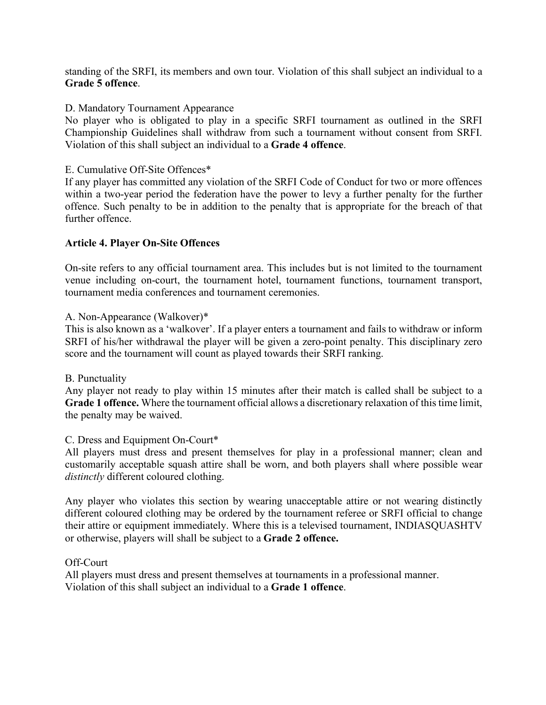standing of the SRFI, its members and own tour. Violation of this shall subject an individual to a **Grade 5 offence**.

D. Mandatory Tournament Appearance

No player who is obligated to play in a specific SRFI tournament as outlined in the SRFI Championship Guidelines shall withdraw from such a tournament without consent from SRFI. Violation of this shall subject an individual to a **Grade 4 offence**.

E. Cumulative Off-Site Offences\*

If any player has committed any violation of the SRFI Code of Conduct for two or more offences within a two-year period the federation have the power to levy a further penalty for the further offence. Such penalty to be in addition to the penalty that is appropriate for the breach of that further offence

# **Article 4. Player On-Site Offences**

On-site refers to any official tournament area. This includes but is not limited to the tournament venue including on-court, the tournament hotel, tournament functions, tournament transport, tournament media conferences and tournament ceremonies.

### A. Non-Appearance (Walkover)\*

This is also known as a 'walkover'. If a player enters a tournament and fails to withdraw or inform SRFI of his/her withdrawal the player will be given a zero-point penalty. This disciplinary zero score and the tournament will count as played towards their SRFI ranking.

#### B. Punctuality

Any player not ready to play within 15 minutes after their match is called shall be subject to a **Grade 1 offence.** Where the tournament official allows a discretionary relaxation of this time limit, the penalty may be waived.

# C. Dress and Equipment On-Court\*

All players must dress and present themselves for play in a professional manner; clean and customarily acceptable squash attire shall be worn, and both players shall where possible wear *distinctly* different coloured clothing.

Any player who violates this section by wearing unacceptable attire or not wearing distinctly different coloured clothing may be ordered by the tournament referee or SRFI official to change their attire or equipment immediately. Where this is a televised tournament, INDIASQUASHTV or otherwise, players will shall be subject to a **Grade 2 offence.** 

#### Off-Court

All players must dress and present themselves at tournaments in a professional manner. Violation of this shall subject an individual to a **Grade 1 offence**.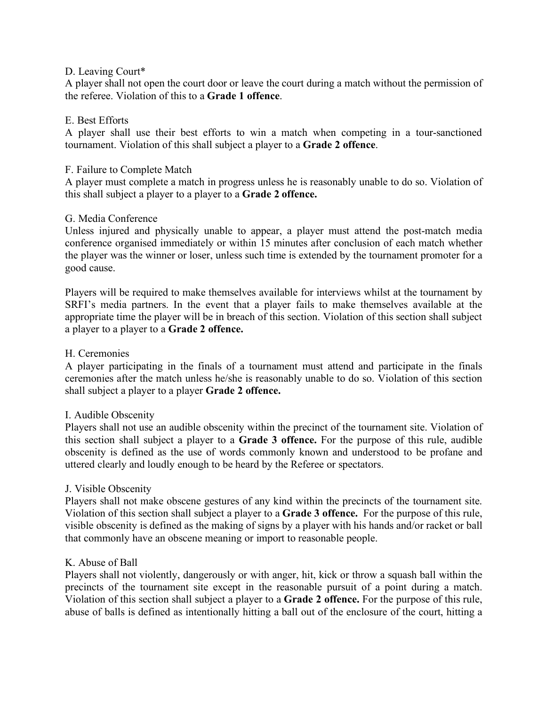### D. Leaving Court\*

A player shall not open the court door or leave the court during a match without the permission of the referee. Violation of this to a **Grade 1 offence**.

### E. Best Efforts

A player shall use their best efforts to win a match when competing in a tour-sanctioned tournament. Violation of this shall subject a player to a **Grade 2 offence**.

#### F. Failure to Complete Match

A player must complete a match in progress unless he is reasonably unable to do so. Violation of this shall subject a player to a player to a **Grade 2 offence.** 

### G. Media Conference

Unless injured and physically unable to appear, a player must attend the post-match media conference organised immediately or within 15 minutes after conclusion of each match whether the player was the winner or loser, unless such time is extended by the tournament promoter for a good cause.

Players will be required to make themselves available for interviews whilst at the tournament by SRFI's media partners. In the event that a player fails to make themselves available at the appropriate time the player will be in breach of this section. Violation of this section shall subject a player to a player to a **Grade 2 offence.** 

#### H. Ceremonies

A player participating in the finals of a tournament must attend and participate in the finals ceremonies after the match unless he/she is reasonably unable to do so. Violation of this section shall subject a player to a player **Grade 2 offence.** 

#### I. Audible Obscenity

Players shall not use an audible obscenity within the precinct of the tournament site. Violation of this section shall subject a player to a **Grade 3 offence.** For the purpose of this rule, audible obscenity is defined as the use of words commonly known and understood to be profane and uttered clearly and loudly enough to be heard by the Referee or spectators.

#### J. Visible Obscenity

Players shall not make obscene gestures of any kind within the precincts of the tournament site. Violation of this section shall subject a player to a **Grade 3 offence.** For the purpose of this rule, visible obscenity is defined as the making of signs by a player with his hands and/or racket or ball that commonly have an obscene meaning or import to reasonable people.

#### K. Abuse of Ball

Players shall not violently, dangerously or with anger, hit, kick or throw a squash ball within the precincts of the tournament site except in the reasonable pursuit of a point during a match. Violation of this section shall subject a player to a **Grade 2 offence.** For the purpose of this rule, abuse of balls is defined as intentionally hitting a ball out of the enclosure of the court, hitting a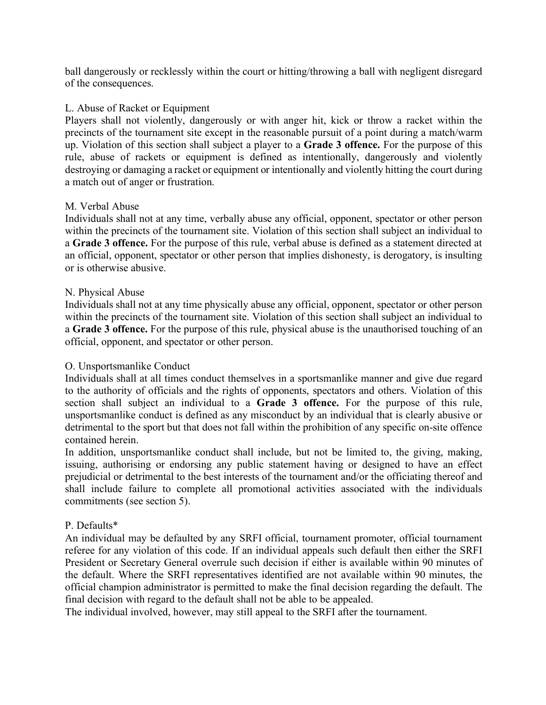ball dangerously or recklessly within the court or hitting/throwing a ball with negligent disregard of the consequences.

#### L. Abuse of Racket or Equipment

Players shall not violently, dangerously or with anger hit, kick or throw a racket within the precincts of the tournament site except in the reasonable pursuit of a point during a match/warm up. Violation of this section shall subject a player to a **Grade 3 offence.** For the purpose of this rule, abuse of rackets or equipment is defined as intentionally, dangerously and violently destroying or damaging a racket or equipment or intentionally and violently hitting the court during a match out of anger or frustration.

### M. Verbal Abuse

Individuals shall not at any time, verbally abuse any official, opponent, spectator or other person within the precincts of the tournament site. Violation of this section shall subject an individual to a **Grade 3 offence.** For the purpose of this rule, verbal abuse is defined as a statement directed at an official, opponent, spectator or other person that implies dishonesty, is derogatory, is insulting or is otherwise abusive.

#### N. Physical Abuse

Individuals shall not at any time physically abuse any official, opponent, spectator or other person within the precincts of the tournament site. Violation of this section shall subject an individual to a **Grade 3 offence.** For the purpose of this rule, physical abuse is the unauthorised touching of an official, opponent, and spectator or other person.

# O. Unsportsmanlike Conduct

Individuals shall at all times conduct themselves in a sportsmanlike manner and give due regard to the authority of officials and the rights of opponents, spectators and others. Violation of this section shall subject an individual to a **Grade 3 offence.** For the purpose of this rule, unsportsmanlike conduct is defined as any misconduct by an individual that is clearly abusive or detrimental to the sport but that does not fall within the prohibition of any specific on-site offence contained herein.

In addition, unsportsmanlike conduct shall include, but not be limited to, the giving, making, issuing, authorising or endorsing any public statement having or designed to have an effect prejudicial or detrimental to the best interests of the tournament and/or the officiating thereof and shall include failure to complete all promotional activities associated with the individuals commitments (see section 5).

# P. Defaults\*

An individual may be defaulted by any SRFI official, tournament promoter, official tournament referee for any violation of this code. If an individual appeals such default then either the SRFI President or Secretary General overrule such decision if either is available within 90 minutes of the default. Where the SRFI representatives identified are not available within 90 minutes, the official champion administrator is permitted to make the final decision regarding the default. The final decision with regard to the default shall not be able to be appealed.

The individual involved, however, may still appeal to the SRFI after the tournament.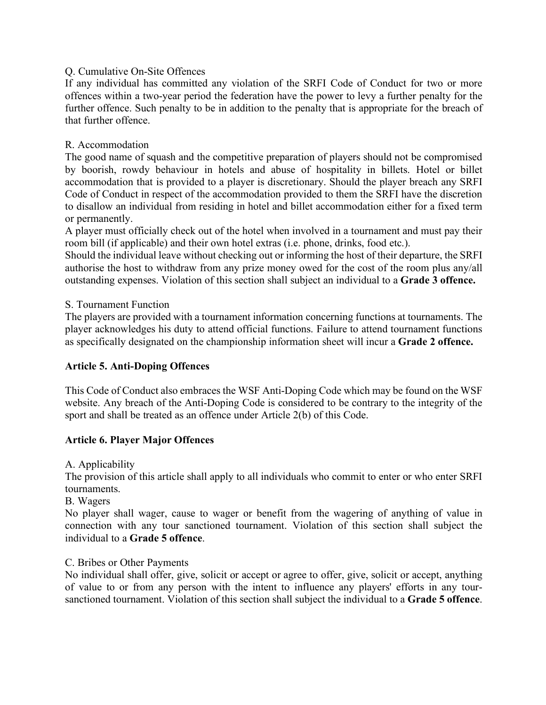# Q. Cumulative On-Site Offences

If any individual has committed any violation of the SRFI Code of Conduct for two or more offences within a two-year period the federation have the power to levy a further penalty for the further offence. Such penalty to be in addition to the penalty that is appropriate for the breach of that further offence.

# R. Accommodation

The good name of squash and the competitive preparation of players should not be compromised by boorish, rowdy behaviour in hotels and abuse of hospitality in billets. Hotel or billet accommodation that is provided to a player is discretionary. Should the player breach any SRFI Code of Conduct in respect of the accommodation provided to them the SRFI have the discretion to disallow an individual from residing in hotel and billet accommodation either for a fixed term or permanently.

A player must officially check out of the hotel when involved in a tournament and must pay their room bill (if applicable) and their own hotel extras (i.e. phone, drinks, food etc.).

Should the individual leave without checking out or informing the host of their departure, the SRFI authorise the host to withdraw from any prize money owed for the cost of the room plus any/all outstanding expenses. Violation of this section shall subject an individual to a **Grade 3 offence.**

# S. Tournament Function

The players are provided with a tournament information concerning functions at tournaments. The player acknowledges his duty to attend official functions. Failure to attend tournament functions as specifically designated on the championship information sheet will incur a **Grade 2 offence.**

# **Article 5. Anti-Doping Offences**

This Code of Conduct also embraces the WSF Anti-Doping Code which may be found on the WSF website. Any breach of the Anti-Doping Code is considered to be contrary to the integrity of the sport and shall be treated as an offence under Article 2(b) of this Code.

# **Article 6. Player Major Offences**

A. Applicability

The provision of this article shall apply to all individuals who commit to enter or who enter SRFI tournaments.

B. Wagers

No player shall wager, cause to wager or benefit from the wagering of anything of value in connection with any tour sanctioned tournament. Violation of this section shall subject the individual to a **Grade 5 offence**.

# C. Bribes or Other Payments

No individual shall offer, give, solicit or accept or agree to offer, give, solicit or accept, anything of value to or from any person with the intent to influence any players' efforts in any toursanctioned tournament. Violation of this section shall subject the individual to a **Grade 5 offence**.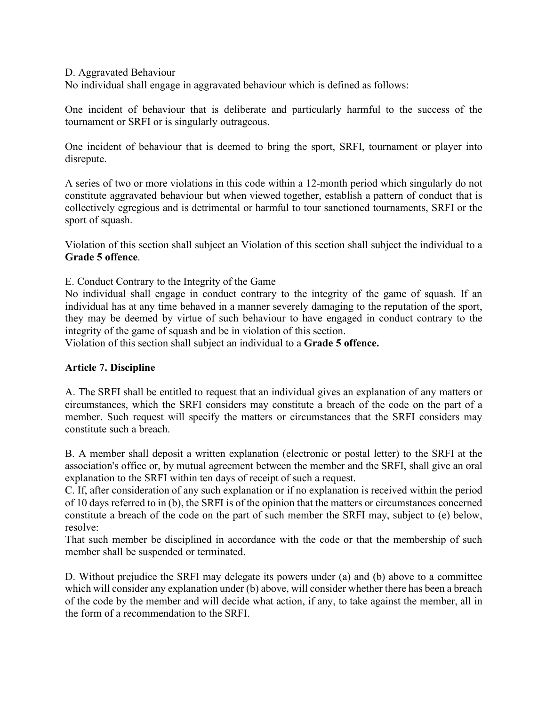D. Aggravated Behaviour

No individual shall engage in aggravated behaviour which is defined as follows:

One incident of behaviour that is deliberate and particularly harmful to the success of the tournament or SRFI or is singularly outrageous.

One incident of behaviour that is deemed to bring the sport, SRFI, tournament or player into disrepute.

A series of two or more violations in this code within a 12-month period which singularly do not constitute aggravated behaviour but when viewed together, establish a pattern of conduct that is collectively egregious and is detrimental or harmful to tour sanctioned tournaments, SRFI or the sport of squash.

Violation of this section shall subject an Violation of this section shall subject the individual to a **Grade 5 offence**.

E. Conduct Contrary to the Integrity of the Game

No individual shall engage in conduct contrary to the integrity of the game of squash. If an individual has at any time behaved in a manner severely damaging to the reputation of the sport, they may be deemed by virtue of such behaviour to have engaged in conduct contrary to the integrity of the game of squash and be in violation of this section.

Violation of this section shall subject an individual to a **Grade 5 offence.** 

#### **Article 7. Discipline**

A. The SRFI shall be entitled to request that an individual gives an explanation of any matters or circumstances, which the SRFI considers may constitute a breach of the code on the part of a member. Such request will specify the matters or circumstances that the SRFI considers may constitute such a breach.

B. A member shall deposit a written explanation (electronic or postal letter) to the SRFI at the association's office or, by mutual agreement between the member and the SRFI, shall give an oral explanation to the SRFI within ten days of receipt of such a request.

C. If, after consideration of any such explanation or if no explanation is received within the period of 10 days referred to in (b), the SRFI is of the opinion that the matters or circumstances concerned constitute a breach of the code on the part of such member the SRFI may, subject to (e) below, resolve:

That such member be disciplined in accordance with the code or that the membership of such member shall be suspended or terminated.

D. Without prejudice the SRFI may delegate its powers under (a) and (b) above to a committee which will consider any explanation under (b) above, will consider whether there has been a breach of the code by the member and will decide what action, if any, to take against the member, all in the form of a recommendation to the SRFI.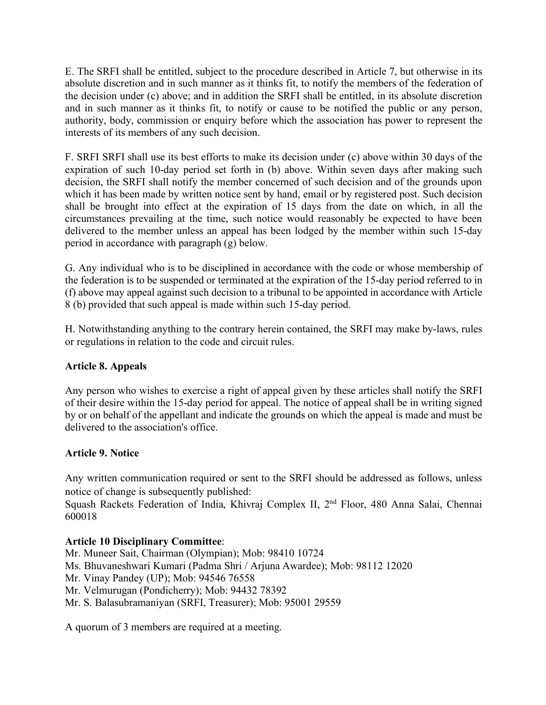E. The SRFI shall be entitled, subject to the procedure described in Article 7, but otherwise in its absolute discretion and in such manner as it thinks fit, to notify the members of the federation of the decision under (c) above; and in addition the SRFI shall be entitled, in its absolute discretion and in such manner as it thinks fit, to notify or cause to be notified the public or any person, authority, body, commission or enquiry before which the association has power to represent the interests of its members of any such decision.

F. SRFI SRFI shall use its best efforts to make its decision under (c) above within 30 days of the expiration of such 10-day period set forth in (b) above. Within seven days after making such decision, the SRFI shall notify the member concerned of such decision and of the grounds upon which it has been made by written notice sent by hand, email or by registered post. Such decision shall be brought into effect at the expiration of 15 days from the date on which, in all the circumstances prevailing at the time, such notice would reasonably be expected to have been delivered to the member unless an appeal has been lodged by the member within such 15-day period in accordance with paragraph (g) below.

G. Any individual who is to be disciplined in accordance with the code or whose membership of the federation is to be suspended or terminated at the expiration of the 15-day period referred to in (f) above may appeal against such decision to a tribunal to be appointed in accordance with Article 8 (b) provided that such appeal is made within such 15-day period.

H. Notwithstanding anything to the contrary herein contained, the SRFI may make by-laws, rules or regulations in relation to the code and circuit rules.

# **Article 8. Appeals**

Any person who wishes to exercise a right of appeal given by these articles shall notify the SRFI of their desire within the 15-day period for appeal. The notice of appeal shall be in writing signed by or on behalf of the appellant and indicate the grounds on which the appeal is made and must be delivered to the association's office.

# **Article 9. Notice**

Any written communication required or sent to the SRFI should be addressed as follows, unless notice of change is subsequently published:

Squash Rackets Federation of India, Khivraj Complex II, 2<sup>nd</sup> Floor, 480 Anna Salai, Chennai 600018

# **Article 10 Disciplinary Committee**:

Mr. Muneer Sait, Chairman (Olympian); Mob: 98410 10724 Ms. Bhuvaneshwari Kumari (Padma Shri / Arjuna Awardee); Mob: 98112 12020 Mr. Vinay Pandey (UP); Mob: 94546 76558 Mr. Velmurugan (Pondicherry); Mob: 94432 78392 Mr. S. Balasubramaniyan (SRFI, Treasurer); Mob: 95001 29559

A quorum of 3 members are required at a meeting.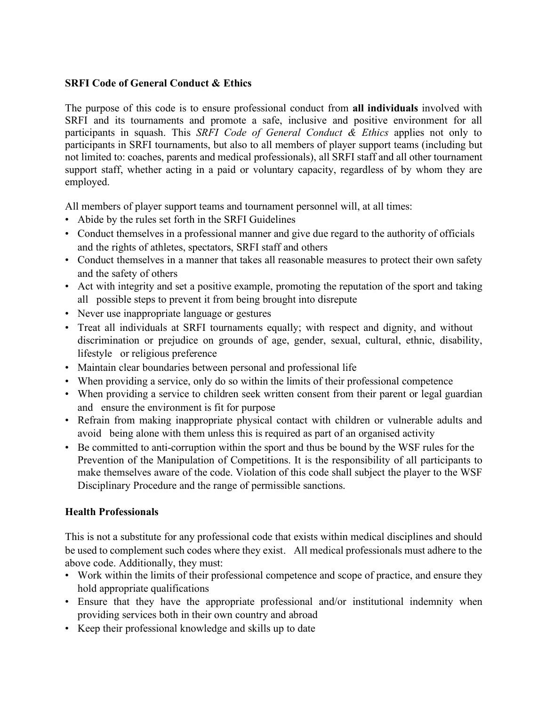# **SRFI Code of General Conduct & Ethics**

The purpose of this code is to ensure professional conduct from **all individuals** involved with SRFI and its tournaments and promote a safe, inclusive and positive environment for all participants in squash. This *SRFI Code of General Conduct & Ethics* applies not only to participants in SRFI tournaments, but also to all members of player support teams (including but not limited to: coaches, parents and medical professionals), all SRFI staff and all other tournament support staff, whether acting in a paid or voluntary capacity, regardless of by whom they are employed.

All members of player support teams and tournament personnel will, at all times:

- Abide by the rules set forth in the SRFI Guidelines
- Conduct themselves in a professional manner and give due regard to the authority of officials and the rights of athletes, spectators, SRFI staff and others
- Conduct themselves in a manner that takes all reasonable measures to protect their own safety and the safety of others
- Act with integrity and set a positive example, promoting the reputation of the sport and taking all possible steps to prevent it from being brought into disrepute
- Never use inappropriate language or gestures
- Treat all individuals at SRFI tournaments equally; with respect and dignity, and without discrimination or prejudice on grounds of age, gender, sexual, cultural, ethnic, disability, lifestyle or religious preference
- Maintain clear boundaries between personal and professional life
- When providing a service, only do so within the limits of their professional competence
- When providing a service to children seek written consent from their parent or legal guardian and ensure the environment is fit for purpose
- Refrain from making inappropriate physical contact with children or vulnerable adults and avoid being alone with them unless this is required as part of an organised activity
- Be committed to anti-corruption within the sport and thus be bound by the WSF rules for the Prevention of the Manipulation of Competitions. It is the responsibility of all participants to make themselves aware of the code. Violation of this code shall subject the player to the WSF Disciplinary Procedure and the range of permissible sanctions.

# **Health Professionals**

This is not a substitute for any professional code that exists within medical disciplines and should be used to complement such codes where they exist. All medical professionals must adhere to the above code. Additionally, they must:

- Work within the limits of their professional competence and scope of practice, and ensure they hold appropriate qualifications
- Ensure that they have the appropriate professional and/or institutional indemnity when providing services both in their own country and abroad
- Keep their professional knowledge and skills up to date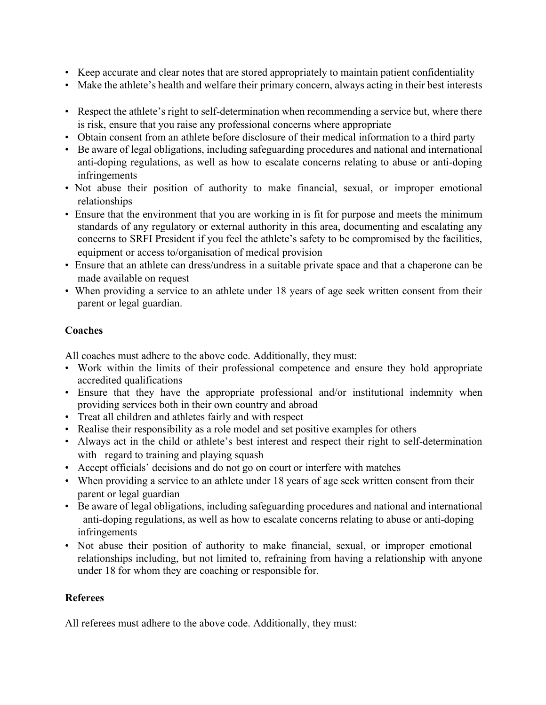- Keep accurate and clear notes that are stored appropriately to maintain patient confidentiality
- Make the athlete's health and welfare their primary concern, always acting in their best interests
- Respect the athlete's right to self-determination when recommending a service but, where there is risk, ensure that you raise any professional concerns where appropriate
- Obtain consent from an athlete before disclosure of their medical information to a third party
- Be aware of legal obligations, including safeguarding procedures and national and international anti-doping regulations, as well as how to escalate concerns relating to abuse or anti-doping infringements
- Not abuse their position of authority to make financial, sexual, or improper emotional relationships
- Ensure that the environment that you are working in is fit for purpose and meets the minimum standards of any regulatory or external authority in this area, documenting and escalating any concerns to SRFI President if you feel the athlete's safety to be compromised by the facilities, equipment or access to/organisation of medical provision
- Ensure that an athlete can dress/undress in a suitable private space and that a chaperone can be made available on request
- When providing a service to an athlete under 18 years of age seek written consent from their parent or legal guardian.

# **Coaches**

All coaches must adhere to the above code. Additionally, they must:

- Work within the limits of their professional competence and ensure they hold appropriate accredited qualifications
- Ensure that they have the appropriate professional and/or institutional indemnity when providing services both in their own country and abroad
- Treat all children and athletes fairly and with respect
- Realise their responsibility as a role model and set positive examples for others
- Always act in the child or athlete's best interest and respect their right to self-determination with regard to training and playing squash
- Accept officials' decisions and do not go on court or interfere with matches
- When providing a service to an athlete under 18 years of age seek written consent from their parent or legal guardian
- Be aware of legal obligations, including safeguarding procedures and national and international anti-doping regulations, as well as how to escalate concerns relating to abuse or anti-doping infringements
- Not abuse their position of authority to make financial, sexual, or improper emotional relationships including, but not limited to, refraining from having a relationship with anyone under 18 for whom they are coaching or responsible for.

# **Referees**

All referees must adhere to the above code. Additionally, they must: